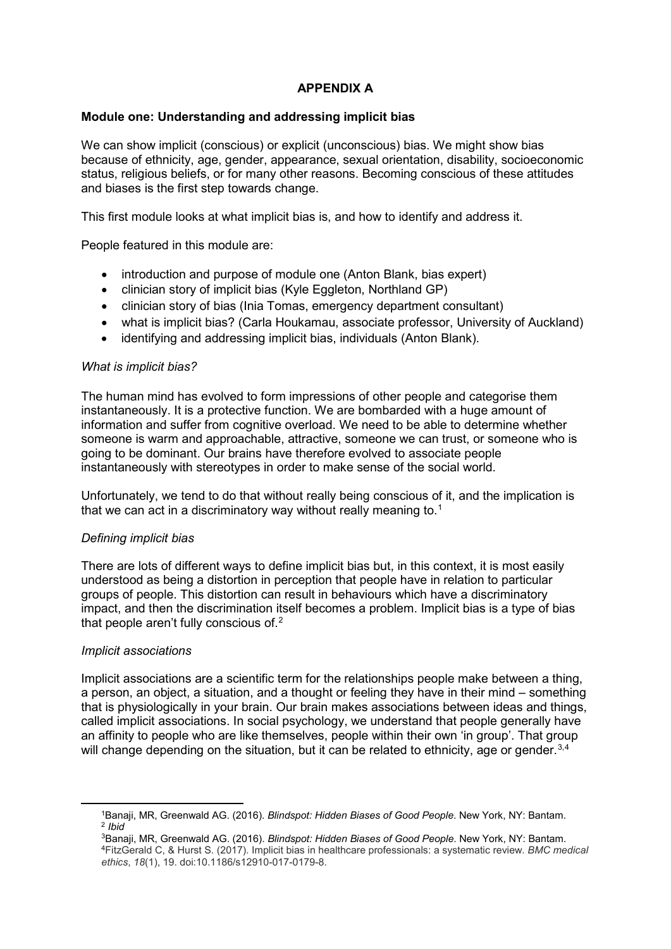# **APPENDIX A**

### **Module one: Understanding and addressing implicit bias**

We can show implicit (conscious) or explicit (unconscious) bias. We might show bias because of ethnicity, age, gender, appearance, sexual orientation, disability, socioeconomic status, religious beliefs, or for many other reasons. Becoming conscious of these attitudes and biases is the first step towards change.

This first module looks at what implicit bias is, and how to identify and address it.

People featured in this module are:

- introduction and purpose of module one (Anton Blank, bias expert)
- clinician story of implicit bias (Kyle Eggleton, Northland GP)
- clinician story of bias (Inia Tomas, emergency department consultant)
- what is implicit bias? (Carla Houkamau, associate professor, University of Auckland)
- identifying and addressing implicit bias, individuals (Anton Blank).

#### *What is implicit bias?*

The human mind has evolved to form impressions of other people and categorise them instantaneously. It is a protective function. We are bombarded with a huge amount of information and suffer from cognitive overload. We need to be able to determine whether someone is warm and approachable, attractive, someone we can trust, or someone who is going to be dominant. Our brains have therefore evolved to associate people instantaneously with stereotypes in order to make sense of the social world.

Unfortunately, we tend to do that without really being conscious of it, and the implication is that we can act in a discriminatory way without really meaning to. $^{\rm 1}$  $^{\rm 1}$  $^{\rm 1}$ 

## *Defining implicit bias*

There are lots of different ways to define implicit bias but, in this context, it is most easily understood as being a distortion in perception that people have in relation to particular groups of people. This distortion can result in behaviours which have a discriminatory impact, and then the discrimination itself becomes a problem. Implicit bias is a type of bias that people aren't fully conscious of.<sup>[2](#page-0-1)</sup>

#### *Implicit associations*

<span id="page-0-3"></span><span id="page-0-2"></span><span id="page-0-1"></span><span id="page-0-0"></span><u>.</u>

Implicit associations are a scientific term for the relationships people make between a thing, a person, an object, a situation, and a thought or feeling they have in their mind – something that is physiologically in your brain. Our brain makes associations between ideas and things, called implicit associations. In social psychology, we understand that people generally have an affinity to people who are like themselves, people within their own 'in group'. That group will change depending on the situation, but it can be related to ethnicity, age or gender. $^{\rm 3,4}$  $^{\rm 3,4}$  $^{\rm 3,4}$  $^{\rm 3,4}$ 

<sup>1</sup>Banaji, MR, Greenwald AG. (2016). *Blindspot: Hidden Biases of Good People*. New York, NY: Bantam. <sup>2</sup> *Ibid*

<sup>3</sup>Banaji, MR, Greenwald AG. (2016). *Blindspot: Hidden Biases of Good People*. New York, NY: Bantam. 4FitzGerald C, & Hurst S. (2017). Implicit bias in healthcare professionals: a systematic review. *BMC medical ethics*, *18*(1), 19. doi:10.1186/s12910-017-0179-8.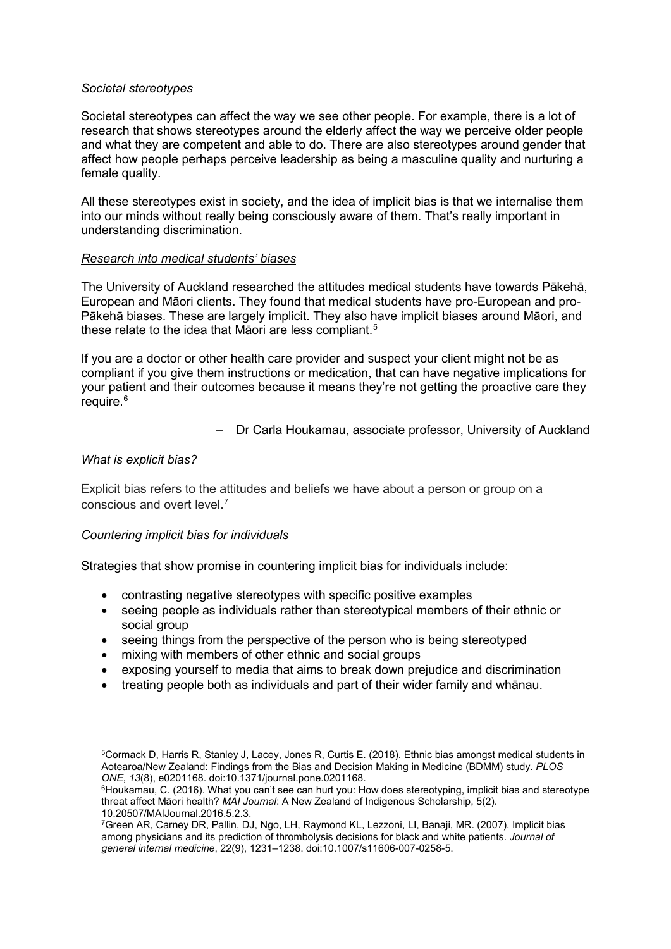#### *Societal stereotypes*

Societal stereotypes can affect the way we see other people. For example, there is a lot of research that shows stereotypes around the elderly affect the way we perceive older people and what they are competent and able to do. There are also stereotypes around gender that affect how people perhaps perceive leadership as being a masculine quality and nurturing a female quality.

All these stereotypes exist in society, and the idea of implicit bias is that we internalise them into our minds without really being consciously aware of them. That's really important in understanding discrimination.

#### *Research into medical students' biases*

The University of Auckland researched the attitudes medical students have towards Pākehā, European and Māori clients. They found that medical students have pro-European and pro-Pākehā biases. These are largely implicit. They also have implicit biases around Māori, and these relate to the idea that Māori are less compliant. [5](#page-1-0)

If you are a doctor or other health care provider and suspect your client might not be as compliant if you give them instructions or medication, that can have negative implications for your patient and their outcomes because it means they're not getting the proactive care they require. [6](#page-1-1)

– Dr Carla Houkamau, associate professor, University of Auckland

#### *What is explicit bias?*

<span id="page-1-1"></span><span id="page-1-0"></span>**.** 

Explicit bias refers to the attitudes and beliefs we have about a person or group on a conscious and overt level. [7](#page-1-2)

#### *Countering implicit bias for individuals*

Strategies that show promise in countering implicit bias for individuals include:

- contrasting negative stereotypes with specific positive examples
- seeing people as individuals rather than stereotypical members of their ethnic or social group
- seeing things from the perspective of the person who is being stereotyped
- mixing with members of other ethnic and social groups
- exposing yourself to media that aims to break down prejudice and discrimination
- treating people both as individuals and part of their wider family and whānau.

<sup>5</sup>Cormack D, Harris R, Stanley J, Lacey, Jones R, Curtis E. (2018). Ethnic bias amongst medical students in Aotearoa/New Zealand: Findings from the Bias and Decision Making in Medicine (BDMM) study. *PLOS ONE*, *13*(8), e0201168. doi:10.1371/journal.pone.0201168.

<sup>&</sup>lt;sup>6</sup>Houkamau, C. (2016). What you can't see can hurt you: How does stereotyping, implicit bias and stereotype threat affect Māori health? *MAI Journal*: A New Zealand of Indigenous Scholarship, 5(2). 10.20507/MAIJournal.2016.5.2.3.

<span id="page-1-2"></span><sup>7</sup>Green AR, Carney DR, Pallin, DJ, Ngo, LH, Raymond KL, Lezzoni, LI, Banaji, MR. (2007). Implicit bias among physicians and its prediction of thrombolysis decisions for black and white patients. *Journal of general internal medicine*, 22(9), 1231–1238. doi:10.1007/s11606-007-0258-5.